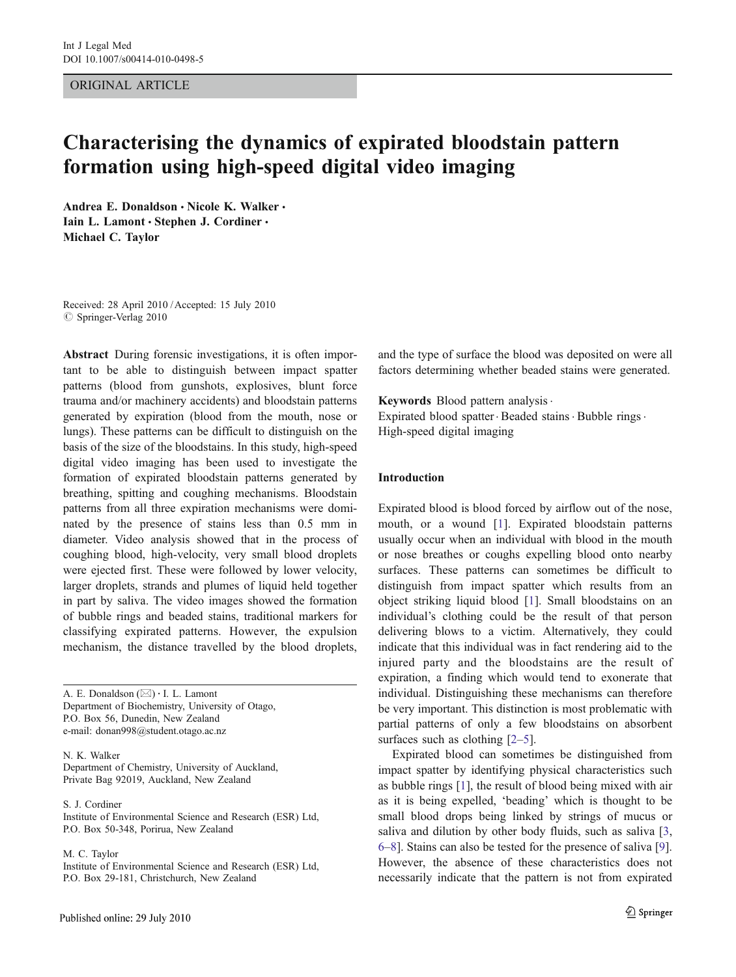#### ORIGINAL ARTICLE

# Characterising the dynamics of expirated bloodstain pattern formation using high-speed digital video imaging

Andrea E. Donaldson · Nicole K. Walker · Iain L. Lamont · Stephen J. Cordiner · Michael C. Taylor

Received: 28 April 2010 /Accepted: 15 July 2010  $\oslash$  Springer-Verlag 2010

Abstract During forensic investigations, it is often important to be able to distinguish between impact spatter patterns (blood from gunshots, explosives, blunt force trauma and/or machinery accidents) and bloodstain patterns generated by expiration (blood from the mouth, nose or lungs). These patterns can be difficult to distinguish on the basis of the size of the bloodstains. In this study, high-speed digital video imaging has been used to investigate the formation of expirated bloodstain patterns generated by breathing, spitting and coughing mechanisms. Bloodstain patterns from all three expiration mechanisms were dominated by the presence of stains less than 0.5 mm in diameter. Video analysis showed that in the process of coughing blood, high-velocity, very small blood droplets were ejected first. These were followed by lower velocity, larger droplets, strands and plumes of liquid held together in part by saliva. The video images showed the formation of bubble rings and beaded stains, traditional markers for classifying expirated patterns. However, the expulsion mechanism, the distance travelled by the blood droplets,

A. E. Donaldson  $(\boxtimes) \cdot$  I. L. Lamont Department of Biochemistry, University of Otago, P.O. Box 56, Dunedin, New Zealand e-mail: donan998@student.otago.ac.nz

N. K. Walker

Department of Chemistry, University of Auckland, Private Bag 92019, Auckland, New Zealand

S. J. Cordiner

Institute of Environmental Science and Research (ESR) Ltd, P.O. Box 50-348, Porirua, New Zealand

M. C. Taylor

Institute of Environmental Science and Research (ESR) Ltd, P.O. Box 29-181, Christchurch, New Zealand

and the type of surface the blood was deposited on were all factors determining whether beaded stains were generated.

Keywords Blood pattern analysis. Expirated blood spatter. Beaded stains. Bubble rings. High-speed digital imaging

## Introduction

Expirated blood is blood forced by airflow out of the nose, mouth, or a wound [1]. Expirated bloodstain patterns usually occur when an individual with blood in the mouth or nose breathes or coughs expelling blood onto nearby surfaces. These patterns can sometimes be difficult to distinguish from impact spatter which results from an object striking liquid blood [1]. Small bloodstains on an individual's clothing could be the result of that person delivering blows to a victim. Alternatively, they could indicate that this individual was in fact rendering aid to the injured party and the bloodstains are the result of expiration, a finding which would tend to exonerate that individual. Distinguishing these mechanisms can therefore be very important. This distinction is most problematic with partial patterns of only a few bloodstains on absorbent surfaces such as clothing  $[2-5]$ .

Expirated blood can sometimes be distinguished from impact spatter by identifying physical characteristics such as bubble rings [1], the result of blood being mixed with air as it is being expelled, 'beading' which is thought to be small blood drops being linked by strings of mucus or saliva and dilution by other body fluids, such as saliva [3, 6–8]. Stains can also be tested for the presence of saliva [9]. However, the absence of these characteristics does not necessarily indicate that the pattern is not from expirated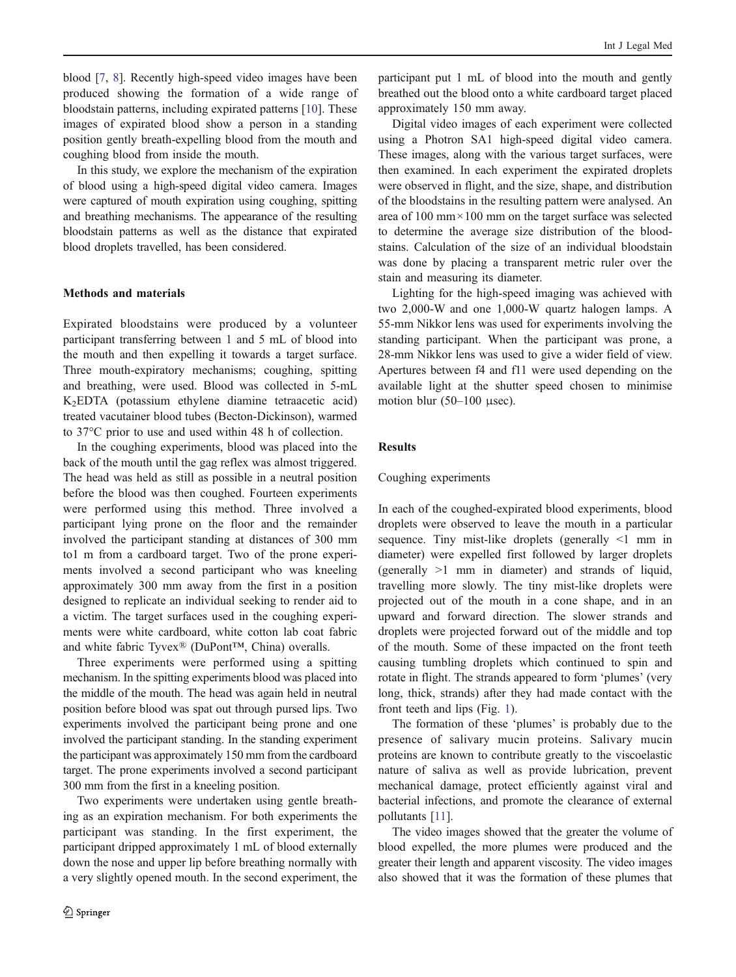blood [7, 8]. Recently high-speed video images have been produced showing the formation of a wide range of bloodstain patterns, including expirated patterns [10]. These images of expirated blood show a person in a standing position gently breath-expelling blood from the mouth and coughing blood from inside the mouth.

In this study, we explore the mechanism of the expiration of blood using a high-speed digital video camera. Images were captured of mouth expiration using coughing, spitting and breathing mechanisms. The appearance of the resulting bloodstain patterns as well as the distance that expirated blood droplets travelled, has been considered.

# Methods and materials

Expirated bloodstains were produced by a volunteer participant transferring between 1 and 5 mL of blood into the mouth and then expelling it towards a target surface. Three mouth-expiratory mechanisms; coughing, spitting and breathing, were used. Blood was collected in 5-mL K<sub>2</sub>EDTA (potassium ethylene diamine tetraacetic acid) treated vacutainer blood tubes (Becton-Dickinson), warmed to 37°C prior to use and used within 48 h of collection.

In the coughing experiments, blood was placed into the back of the mouth until the gag reflex was almost triggered. The head was held as still as possible in a neutral position before the blood was then coughed. Fourteen experiments were performed using this method. Three involved a participant lying prone on the floor and the remainder involved the participant standing at distances of 300 mm to1 m from a cardboard target. Two of the prone experiments involved a second participant who was kneeling approximately 300 mm away from the first in a position designed to replicate an individual seeking to render aid to a victim. The target surfaces used in the coughing experiments were white cardboard, white cotton lab coat fabric and white fabric Tyvex® (DuPont™, China) overalls.

Three experiments were performed using a spitting mechanism. In the spitting experiments blood was placed into the middle of the mouth. The head was again held in neutral position before blood was spat out through pursed lips. Two experiments involved the participant being prone and one involved the participant standing. In the standing experiment the participant was approximately 150 mm from the cardboard target. The prone experiments involved a second participant 300 mm from the first in a kneeling position.

Two experiments were undertaken using gentle breathing as an expiration mechanism. For both experiments the participant was standing. In the first experiment, the participant dripped approximately 1 mL of blood externally down the nose and upper lip before breathing normally with a very slightly opened mouth. In the second experiment, the

participant put 1 mL of blood into the mouth and gently breathed out the blood onto a white cardboard target placed approximately 150 mm away.

Digital video images of each experiment were collected using a Photron SA1 high-speed digital video camera. These images, along with the various target surfaces, were then examined. In each experiment the expirated droplets were observed in flight, and the size, shape, and distribution of the bloodstains in the resulting pattern were analysed. An area of 100 mm×100 mm on the target surface was selected to determine the average size distribution of the bloodstains. Calculation of the size of an individual bloodstain was done by placing a transparent metric ruler over the stain and measuring its diameter.

Lighting for the high-speed imaging was achieved with two 2,000-W and one 1,000-W quartz halogen lamps. A 55-mm Nikkor lens was used for experiments involving the standing participant. When the participant was prone, a 28-mm Nikkor lens was used to give a wider field of view. Apertures between f4 and f11 were used depending on the available light at the shutter speed chosen to minimise motion blur (50–100 μsec).

# **Results**

# Coughing experiments

In each of the coughed-expirated blood experiments, blood droplets were observed to leave the mouth in a particular sequence. Tiny mist-like droplets (generally <1 mm in diameter) were expelled first followed by larger droplets (generally >1 mm in diameter) and strands of liquid, travelling more slowly. The tiny mist-like droplets were projected out of the mouth in a cone shape, and in an upward and forward direction. The slower strands and droplets were projected forward out of the middle and top of the mouth. Some of these impacted on the front teeth causing tumbling droplets which continued to spin and rotate in flight. The strands appeared to form 'plumes' (very long, thick, strands) after they had made contact with the front teeth and lips (Fig. 1).

The formation of these 'plumes' is probably due to the presence of salivary mucin proteins. Salivary mucin proteins are known to contribute greatly to the viscoelastic nature of saliva as well as provide lubrication, prevent mechanical damage, protect efficiently against viral and bacterial infections, and promote the clearance of external pollutants [11].

The video images showed that the greater the volume of blood expelled, the more plumes were produced and the greater their length and apparent viscosity. The video images also showed that it was the formation of these plumes that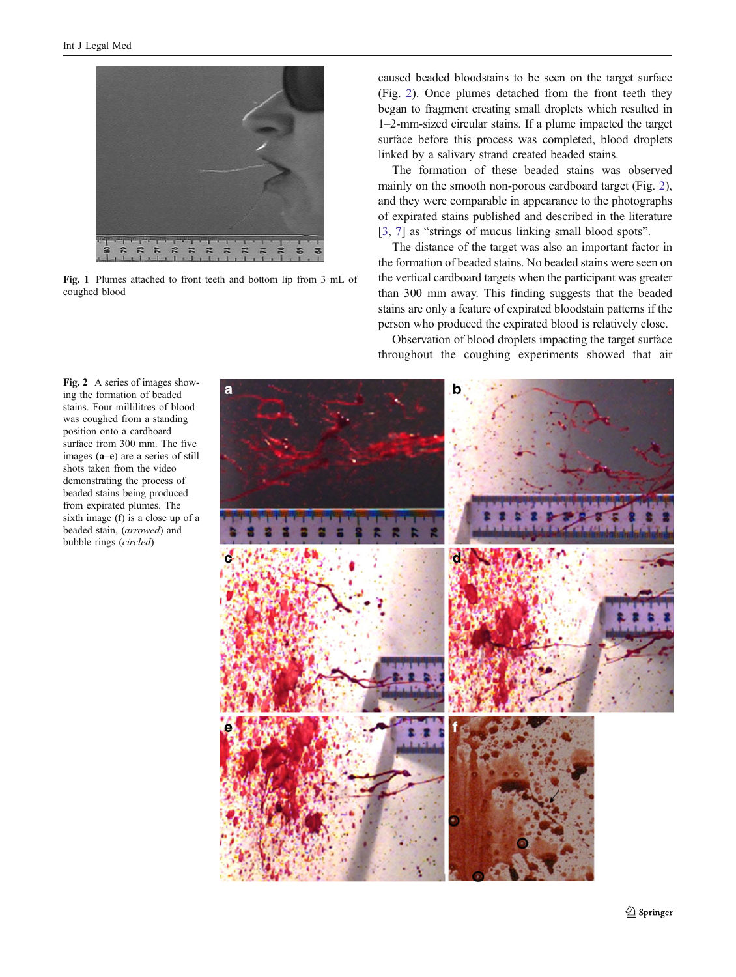

Fig. 1 Plumes attached to front teeth and bottom lip from 3 mL of coughed blood

caused beaded bloodstains to be seen on the target surface (Fig. 2). Once plumes detached from the front teeth they began to fragment creating small droplets which resulted in 1–2-mm-sized circular stains. If a plume impacted the target surface before this process was completed, blood droplets linked by a salivary strand created beaded stains.

The formation of these beaded stains was observed mainly on the smooth non-porous cardboard target (Fig. 2), and they were comparable in appearance to the photographs of expirated stains published and described in the literature [3, 7] as "strings of mucus linking small blood spots".

The distance of the target was also an important factor in the formation of beaded stains. No beaded stains were seen on the vertical cardboard targets when the participant was greater than 300 mm away. This finding suggests that the beaded stains are only a feature of expirated bloodstain patterns if the person who produced the expirated blood is relatively close.

Observation of blood droplets impacting the target surface throughout the coughing experiments showed that air

 $\mathbf b$ F

Fig. 2 A series of images showing the formation of beaded stains. Four millilitres of blood was coughed from a standing position onto a cardboard surface from 300 mm. The five images (a–e) are a series of still shots taken from the video demonstrating the process of beaded stains being produced from expirated plumes. The sixth image (f) is a close up of a beaded stain, (arrowed) and bubble rings (circled)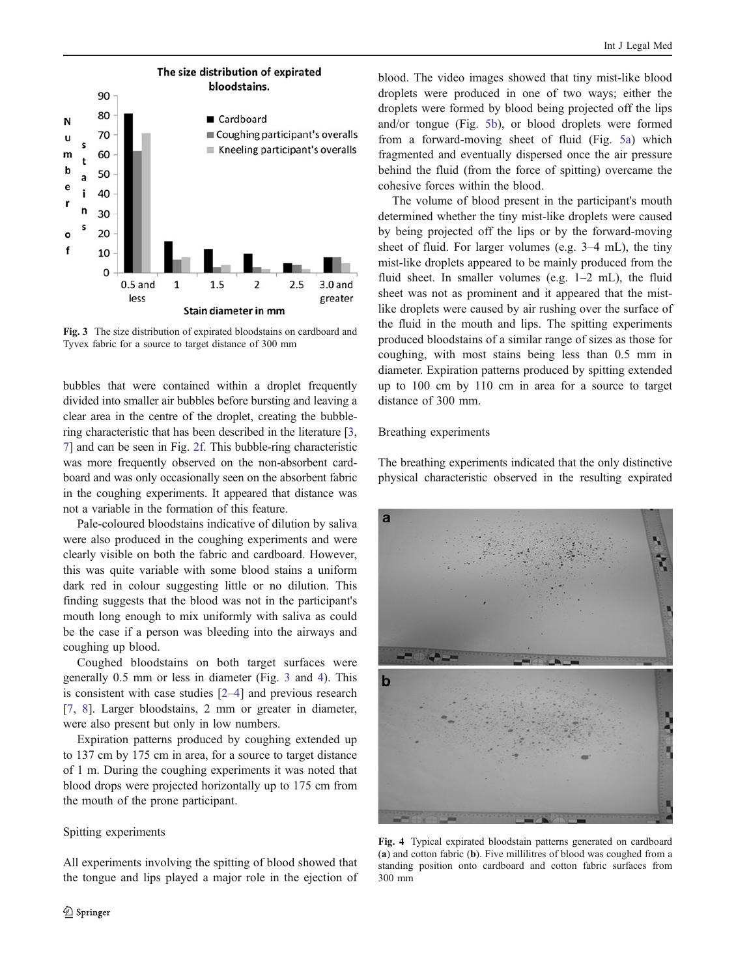

Fig. 3 The size distribution of expirated bloodstains on cardboard and Tyvex fabric for a source to target distance of 300 mm

bubbles that were contained within a droplet frequently divided into smaller air bubbles before bursting and leaving a clear area in the centre of the droplet, creating the bubblering characteristic that has been described in the literature [3, 7] and can be seen in Fig. 2f. This bubble-ring characteristic was more frequently observed on the non-absorbent cardboard and was only occasionally seen on the absorbent fabric in the coughing experiments. It appeared that distance was not a variable in the formation of this feature.

Pale-coloured bloodstains indicative of dilution by saliva were also produced in the coughing experiments and were clearly visible on both the fabric and cardboard. However, this was quite variable with some blood stains a uniform dark red in colour suggesting little or no dilution. This finding suggests that the blood was not in the participant's mouth long enough to mix uniformly with saliva as could be the case if a person was bleeding into the airways and coughing up blood.

Coughed bloodstains on both target surfaces were generally 0.5 mm or less in diameter (Fig. 3 and 4). This is consistent with case studies [2–4] and previous research [7, 8]. Larger bloodstains, 2 mm or greater in diameter, were also present but only in low numbers.

Expiration patterns produced by coughing extended up to 137 cm by 175 cm in area, for a source to target distance of 1 m. During the coughing experiments it was noted that blood drops were projected horizontally up to 175 cm from the mouth of the prone participant.

# Spitting experiments

All experiments involving the spitting of blood showed that the tongue and lips played a major role in the ejection of

blood. The video images showed that tiny mist-like blood droplets were produced in one of two ways; either the droplets were formed by blood being projected off the lips and/or tongue (Fig. 5b), or blood droplets were formed from a forward-moving sheet of fluid (Fig. 5a) which fragmented and eventually dispersed once the air pressure behind the fluid (from the force of spitting) overcame the cohesive forces within the blood.

The volume of blood present in the participant's mouth determined whether the tiny mist-like droplets were caused by being projected off the lips or by the forward-moving sheet of fluid. For larger volumes (e.g. 3–4 mL), the tiny mist-like droplets appeared to be mainly produced from the fluid sheet. In smaller volumes (e.g. 1–2 mL), the fluid sheet was not as prominent and it appeared that the mistlike droplets were caused by air rushing over the surface of the fluid in the mouth and lips. The spitting experiments produced bloodstains of a similar range of sizes as those for coughing, with most stains being less than 0.5 mm in diameter. Expiration patterns produced by spitting extended up to 100 cm by 110 cm in area for a source to target distance of 300 mm.

#### Breathing experiments

The breathing experiments indicated that the only distinctive physical characteristic observed in the resulting expirated



Fig. 4 Typical expirated bloodstain patterns generated on cardboard (a) and cotton fabric (b). Five millilitres of blood was coughed from a standing position onto cardboard and cotton fabric surfaces from 300 mm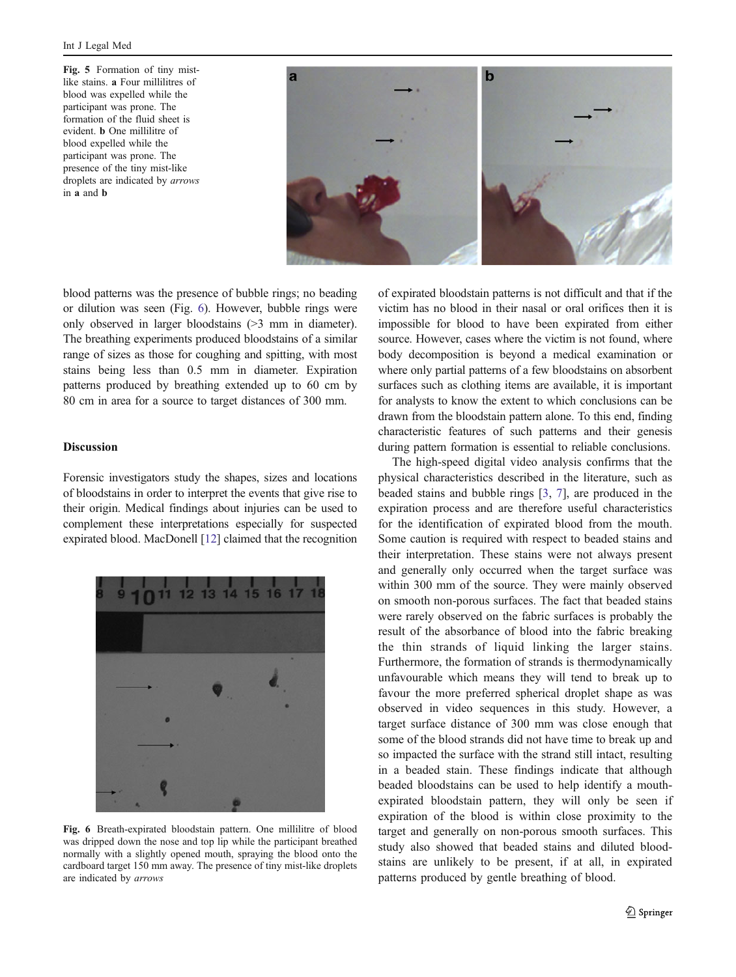Fig. 5 Formation of tiny mistlike stains. a Four millilitres of blood was expelled while the participant was prone. The formation of the fluid sheet is evident. b One millilitre of blood expelled while the participant was prone. The presence of the tiny mist-like droplets are indicated by arrows in a and b



blood patterns was the presence of bubble rings; no beading or dilution was seen (Fig. 6). However, bubble rings were only observed in larger bloodstains (>3 mm in diameter). The breathing experiments produced bloodstains of a similar range of sizes as those for coughing and spitting, with most stains being less than 0.5 mm in diameter. Expiration patterns produced by breathing extended up to 60 cm by 80 cm in area for a source to target distances of 300 mm.

## Discussion

Forensic investigators study the shapes, sizes and locations of bloodstains in order to interpret the events that give rise to their origin. Medical findings about injuries can be used to complement these interpretations especially for suspected expirated blood. MacDonell [12] claimed that the recognition



Fig. 6 Breath-expirated bloodstain pattern. One millilitre of blood was dripped down the nose and top lip while the participant breathed normally with a slightly opened mouth, spraying the blood onto the cardboard target 150 mm away. The presence of tiny mist-like droplets are indicated by arrows

of expirated bloodstain patterns is not difficult and that if the victim has no blood in their nasal or oral orifices then it is impossible for blood to have been expirated from either source. However, cases where the victim is not found, where body decomposition is beyond a medical examination or where only partial patterns of a few bloodstains on absorbent surfaces such as clothing items are available, it is important for analysts to know the extent to which conclusions can be drawn from the bloodstain pattern alone. To this end, finding characteristic features of such patterns and their genesis during pattern formation is essential to reliable conclusions.

The high-speed digital video analysis confirms that the physical characteristics described in the literature, such as beaded stains and bubble rings [3, 7], are produced in the expiration process and are therefore useful characteristics for the identification of expirated blood from the mouth. Some caution is required with respect to beaded stains and their interpretation. These stains were not always present and generally only occurred when the target surface was within 300 mm of the source. They were mainly observed on smooth non-porous surfaces. The fact that beaded stains were rarely observed on the fabric surfaces is probably the result of the absorbance of blood into the fabric breaking the thin strands of liquid linking the larger stains. Furthermore, the formation of strands is thermodynamically unfavourable which means they will tend to break up to favour the more preferred spherical droplet shape as was observed in video sequences in this study. However, a target surface distance of 300 mm was close enough that some of the blood strands did not have time to break up and so impacted the surface with the strand still intact, resulting in a beaded stain. These findings indicate that although beaded bloodstains can be used to help identify a mouthexpirated bloodstain pattern, they will only be seen if expiration of the blood is within close proximity to the target and generally on non-porous smooth surfaces. This study also showed that beaded stains and diluted bloodstains are unlikely to be present, if at all, in expirated patterns produced by gentle breathing of blood.